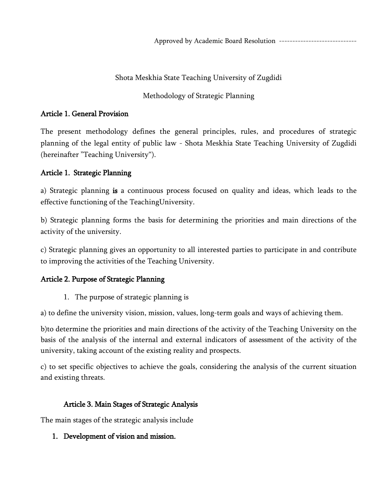## Shota Meskhia State Teaching University of Zugdidi

# Methodology of Strategic Planning

## Article 1. General Provision

The present methodology defines the general principles, rules, and procedures of strategic planning of the legal entity of public law - Shota Meskhia State Teaching University of Zugdidi (hereinafter "Teaching University").

## Article 1. Strategic Planning

a) Strategic planning is a continuous process focused on quality and ideas, which leads to the effective functioning of the TeachingUniversity.

b) Strategic planning forms the basis for determining the priorities and main directions of the activity of the university.

c) Strategic planning gives an opportunity to all interested parties to participate in and contribute to improving the activities of the Teaching University.

### Article 2. Purpose of Strategic Planning

1. The purpose of strategic planning is

a) to define the university vision, mission, values, long-term goals and ways of achieving them.

b)to determine the priorities and main directions of the activity of the Teaching University on the basis of the analysis of the internal and external indicators of assessment of the activity of the university, taking account of the existing reality and prospects.

c) to set specific objectives to achieve the goals, considering the analysis of the current situation and existing threats.

# Article 3. Main Stages of Strategic Analysis

The main stages of the strategic analysis include

# 1. Development of vision and mission.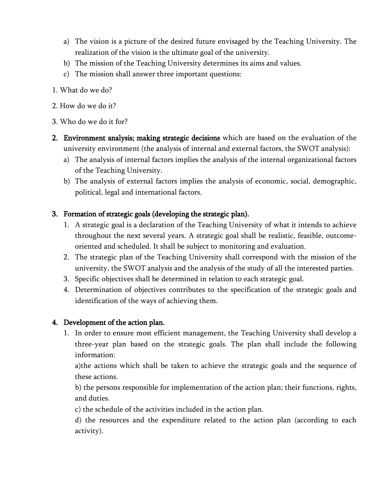- a) The vision is a picture of the desired future envisaged by the Teaching University. The realization of the vision is the ultimate goal of the university.
- b) The mission of the Teaching University determines its aims and values.
- c) The mission shall answer three important questions:
- 1. What do we do?
- 2. How do we do it?
- 3. Who do we do it for?
- 2. Environment analysis; making strategic decisions which are based on the evaluation of the university environment (the analysis of internal and external factors, the SWOT analysis):
	- a) The analysis of internal factors implies the analysis of the internal organizational factors of the Teaching University.
	- b) The analysis of external factors implies the analysis of economic, social, demographic, political, legal and international factors.

### 3. Formation of strategic goals (developing the strategic plan).

- 1. A strategic goal is a declaration of the Teaching University of what it intends to achieve throughout the next several years. A strategic goal shall be realistic, feasible, outcomeoriented and scheduled. It shall be subject to monitoring and evaluation.
- 2. The strategic plan of the Teaching University shall correspond with the mission of the university, the SWOT analysis and the analysis of the study of all the interested parties.
- 3. Specific objectives shall be determined in relation to each strategic goal.
- 4. Determination of objectives contributes to the specification of the strategic goals and identification of the ways of achieving them.

### 4. Development of the action plan.

1. In order to ensure most efficient management, the Teaching University shall develop a three-year plan based on the strategic goals. The plan shall include the following information:

a)the actions which shall be taken to achieve the strategic goals and the sequence of these actions.

b) the persons responsible for implementation of the action plan; their functions, rights, and duties.

c) the schedule of the activities included in the action plan.

d) the resources and the expenditure related to the action plan (according to each activity).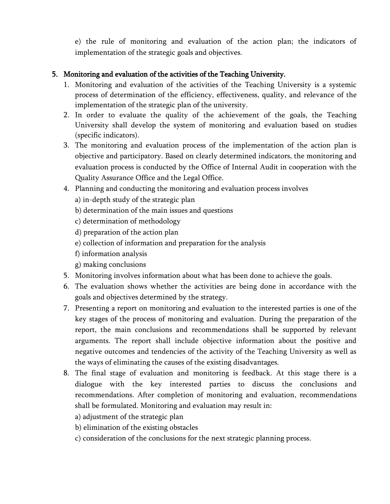e) the rule of monitoring and evaluation of the action plan; the indicators of implementation of the strategic goals and objectives.

## 5. Monitoring and evaluation of the activities of the Teaching University.

- 1. Monitoring and evaluation of the activities of the Teaching University is a systemic process of determination of the efficiency, effectiveness, quality, and relevance of the implementation of the strategic plan of the university.
- 2. In order to evaluate the quality of the achievement of the goals, the Teaching University shall develop the system of monitoring and evaluation based on studies (specific indicators).
- 3. The monitoring and evaluation process of the implementation of the action plan is objective and participatory. Based on clearly determined indicators, the monitoring and evaluation process is conducted by the Office of Internal Audit in cooperation with the Quality Assurance Office and the Legal Office.
- 4. Planning and conducting the monitoring and evaluation process involves
	- a) in-depth study of the strategic plan
	- b) determination of the main issues and questions
	- c) determination of methodology
	- d) preparation of the action plan
	- e) collection of information and preparation for the analysis
	- f) information analysis
	- g) making conclusions
- 5. Monitoring involves information about what has been done to achieve the goals.
- 6. The evaluation shows whether the activities are being done in accordance with the goals and objectives determined by the strategy.
- 7. Presenting a report on monitoring and evaluation to the interested parties is one of the key stages of the process of monitoring and evaluation. During the preparation of the report, the main conclusions and recommendations shall be supported by relevant arguments. The report shall include objective information about the positive and negative outcomes and tendencies of the activity of the Teaching University as well as the ways of eliminating the causes of the existing disadvantages.
- 8. The final stage of evaluation and monitoring is feedback. At this stage there is a dialogue with the key interested parties to discuss the conclusions and recommendations. After completion of monitoring and evaluation, recommendations shall be formulated. Monitoring and evaluation may result in:
	- a) adjustment of the strategic plan
	- b) elimination of the existing obstacles
	- c) consideration of the conclusions for the next strategic planning process.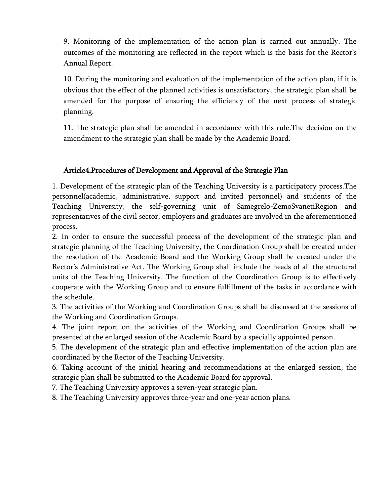9. Monitoring of the implementation of the action plan is carried out annually. The outcomes of the monitoring are reflected in the report which is the basis for the Rector's Annual Report.

10. During the monitoring and evaluation of the implementation of the action plan, if it is obvious that the effect of the planned activities is unsatisfactory, the strategic plan shall be amended for the purpose of ensuring the efficiency of the next process of strategic planning.

11. The strategic plan shall be amended in accordance with this rule.The decision on the amendment to the strategic plan shall be made by the Academic Board.

#### Article4.Procedures of Development and Approval of the Strategic Plan

1. Development of the strategic plan of the Teaching University is a participatory process.The personnel(academic, administrative, support and invited personnel) and students of the Teaching University, the self-governing unit of Samegrelo-ZemoSvanetiRegion and representatives of the civil sector, employers and graduates are involved in the aforementioned process.

2. In order to ensure the successful process of the development of the strategic plan and strategic planning of the Teaching University, the Coordination Group shall be created under the resolution of the Academic Board and the Working Group shall be created under the Rector's Administrative Act. The Working Group shall include the heads of all the structural units of the Teaching University. The function of the Coordination Group is to effectively cooperate with the Working Group and to ensure fulfillment of the tasks in accordance with the schedule.

3. The activities of the Working and Coordination Groups shall be discussed at the sessions of the Working and Coordination Groups.

4. The joint report on the activities of the Working and Coordination Groups shall be presented at the enlarged session of the Academic Board by a specially appointed person.

5. The development of the strategic plan and effective implementation of the action plan are coordinated by the Rector of the Teaching University.

6. Taking account of the initial hearing and recommendations at the enlarged session, the strategic plan shall be submitted to the Academic Board for approval.

7. The Teaching University approves a seven-year strategic plan.

8. The Teaching University approves three-year and one-year action plans.